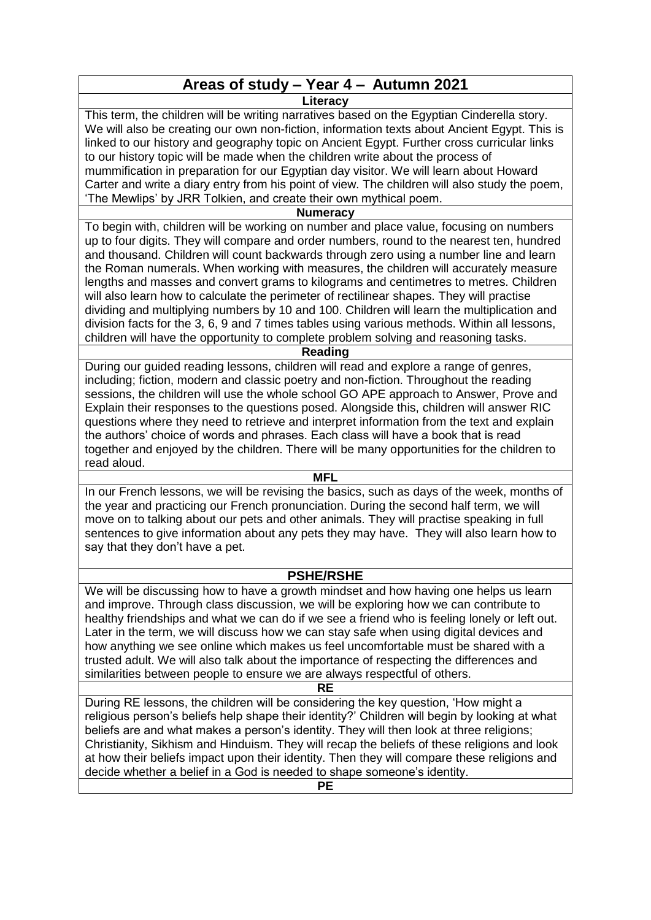# **Areas of study – Year 4 – Autumn 2021**

**Literacy**

This term, the children will be writing narratives based on the Egyptian Cinderella story. We will also be creating our own non-fiction, information texts about Ancient Egypt. This is linked to our history and geography topic on Ancient Egypt. Further cross curricular links to our history topic will be made when the children write about the process of mummification in preparation for our Egyptian day visitor. We will learn about Howard Carter and write a diary entry from his point of view. The children will also study the poem, 'The Mewlips' by JRR Tolkien, and create their own mythical poem.

# **Numeracy**

To begin with, children will be working on number and place value, focusing on numbers up to four digits. They will compare and order numbers, round to the nearest ten, hundred and thousand. Children will count backwards through zero using a number line and learn the Roman numerals. When working with measures, the children will accurately measure lengths and masses and convert grams to kilograms and centimetres to metres. Children will also learn how to calculate the perimeter of rectilinear shapes. They will practise dividing and multiplying numbers by 10 and 100. Children will learn the multiplication and division facts for the 3, 6, 9 and 7 times tables using various methods. Within all lessons, children will have the opportunity to complete problem solving and reasoning tasks.

# **Reading**

During our guided reading lessons, children will read and explore a range of genres, including; fiction, modern and classic poetry and non-fiction. Throughout the reading sessions, the children will use the whole school GO APE approach to Answer, Prove and Explain their responses to the questions posed. Alongside this, children will answer RIC questions where they need to retrieve and interpret information from the text and explain the authors' choice of words and phrases. Each class will have a book that is read together and enjoyed by the children. There will be many opportunities for the children to read aloud.

#### **MFL**

In our French lessons, we will be revising the basics, such as days of the week, months of the year and practicing our French pronunciation. During the second half term, we will move on to talking about our pets and other animals. They will practise speaking in full sentences to give information about any pets they may have. They will also learn how to say that they don't have a pet.

# **PSHE/RSHE**

We will be discussing how to have a growth mindset and how having one helps us learn and improve. Through class discussion, we will be exploring how we can contribute to healthy friendships and what we can do if we see a friend who is feeling lonely or left out. Later in the term, we will discuss how we can stay safe when using digital devices and how anything we see online which makes us feel uncomfortable must be shared with a trusted adult. We will also talk about the importance of respecting the differences and similarities between people to ensure we are always respectful of others.

# **RE**

During RE lessons, the children will be considering the key question, 'How might a religious person's beliefs help shape their identity?' Children will begin by looking at what beliefs are and what makes a person's identity. They will then look at three religions; Christianity, Sikhism and Hinduism. They will recap the beliefs of these religions and look at how their beliefs impact upon their identity. Then they will compare these religions and decide whether a belief in a God is needed to shape someone's identity.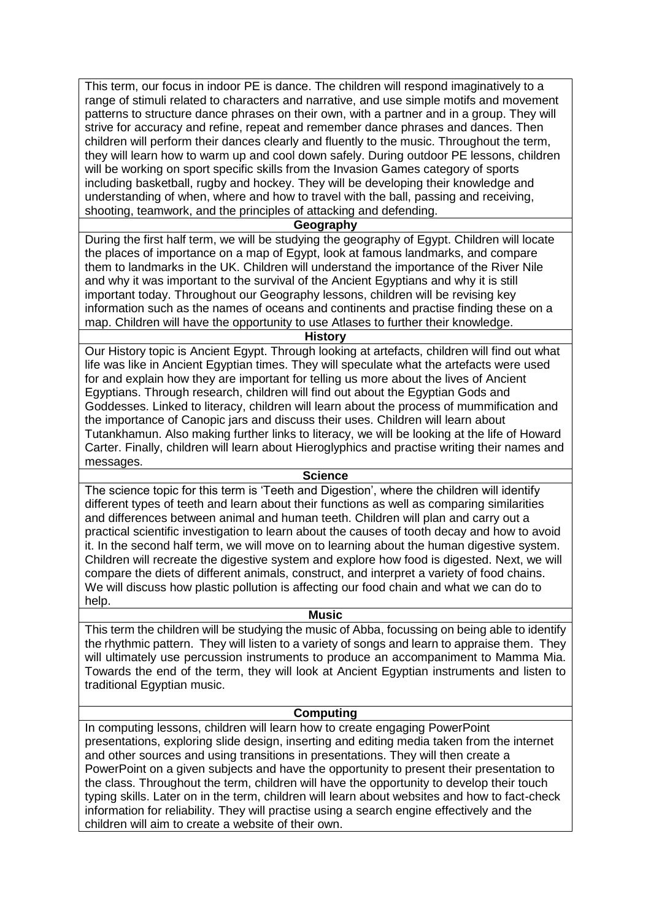This term, our focus in indoor PE is dance. The children will respond imaginatively to a range of stimuli related to characters and narrative, and use simple motifs and movement patterns to structure dance phrases on their own, with a partner and in a group. They will strive for accuracy and refine, repeat and remember dance phrases and dances. Then children will perform their dances clearly and fluently to the music. Throughout the term, they will learn how to warm up and cool down safely. During outdoor PE lessons, children will be working on sport specific skills from the Invasion Games category of sports including basketball, rugby and hockey. They will be developing their knowledge and understanding of when, where and how to travel with the ball, passing and receiving, shooting, teamwork, and the principles of attacking and defending.

#### **Geography**

During the first half term, we will be studying the geography of Egypt. Children will locate the places of importance on a map of Egypt, look at famous landmarks, and compare them to landmarks in the UK. Children will understand the importance of the River Nile and why it was important to the survival of the Ancient Egyptians and why it is still important today. Throughout our Geography lessons, children will be revising key information such as the names of oceans and continents and practise finding these on a map. Children will have the opportunity to use Atlases to further their knowledge.

#### **History**

Our History topic is Ancient Egypt. Through looking at artefacts, children will find out what life was like in Ancient Egyptian times. They will speculate what the artefacts were used for and explain how they are important for telling us more about the lives of Ancient Egyptians. Through research, children will find out about the Egyptian Gods and Goddesses. Linked to literacy, children will learn about the process of mummification and the importance of Canopic jars and discuss their uses. Children will learn about Tutankhamun. Also making further links to literacy, we will be looking at the life of Howard Carter. Finally, children will learn about Hieroglyphics and practise writing their names and messages.

#### **Science**

The science topic for this term is 'Teeth and Digestion', where the children will identify different types of teeth and learn about their functions as well as comparing similarities and differences between animal and human teeth. Children will plan and carry out a practical scientific investigation to learn about the causes of tooth decay and how to avoid it. In the second half term, we will move on to learning about the human digestive system. Children will recreate the digestive system and explore how food is digested. Next, we will compare the diets of different animals, construct, and interpret a variety of food chains. We will discuss how plastic pollution is affecting our food chain and what we can do to help.

#### **Music**

This term the children will be studying the music of Abba, focussing on being able to identify the rhythmic pattern. They will listen to a variety of songs and learn to appraise them. They will ultimately use percussion instruments to produce an accompaniment to Mamma Mia. Towards the end of the term, they will look at Ancient Egyptian instruments and listen to traditional Egyptian music.

# **Computing**

In computing lessons, children will learn how to create engaging PowerPoint presentations, exploring slide design, inserting and editing media taken from the internet and other sources and using transitions in presentations. They will then create a PowerPoint on a given subjects and have the opportunity to present their presentation to the class. Throughout the term, children will have the opportunity to develop their touch typing skills. Later on in the term, children will learn about websites and how to fact-check information for reliability. They will practise using a search engine effectively and the children will aim to create a website of their own.